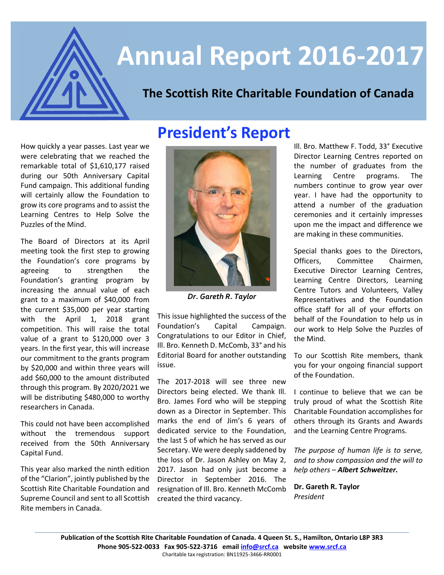

# **Annual Report 2016-2017**

# **The Scottish Rite Charitable Foundation of Canada**

How quickly a year passes. Last year we were celebrating that we reached the remarkable total of \$1,610,177 raised during our 50th Anniversary Capital Fund campaign. This additional funding will certainly allow the Foundation to grow its core programs and to assist the Learning Centres to Help Solve the Puzzles of the Mind.

The Board of Directors at its April meeting took the first step to growing the Foundation's core programs by agreeing to strengthen the Foundation's granting program by increasing the annual value of each grant to a maximum of \$40,000 from the current \$35,000 per year starting with the April 1, 2018 grant competition. This will raise the total value of a grant to \$120,000 over 3 years. In the first year, this will increase our commitment to the grants program by \$20,000 and within three years will add \$60,000 to the amount distributed through this program. By 2020/2021 we will be distributing \$480,000 to worthy researchers in Canada.

This could not have been accomplished without the tremendous support received from the 50th Anniversary Capital Fund.

This year also marked the ninth edition of the "Clarion", jointly published by the Scottish Rite Charitable Foundation and Supreme Council and sent to all Scottish Rite members in Canada.



*Dr. Gareth R. Taylor*

This issue highlighted the success of the Foundation's Capital Campaign. Congratulations to our Editor in Chief, Ill. Bro. Kenneth D. McComb, 33° and his Editorial Board for another outstanding issue.

The 2017-2018 will see three new Directors being elected. We thank Ill. Bro. James Ford who will be stepping down as a Director in September. This marks the end of Jim's 6 years of dedicated service to the Foundation, the last 5 of which he has served as our Secretary. We were deeply saddened by the loss of Dr. Jason Ashley on May 2, 2017. Jason had only just become a Director in September 2016. The resignation of Ill. Bro. Kenneth McComb created the third vacancy.

Ill. Bro. Matthew F. Todd, 33° Executive Director Learning Centres reported on the number of graduates from the Learning Centre programs. The numbers continue to grow year over year. I have had the opportunity to attend a number of the graduation ceremonies and it certainly impresses upon me the impact and difference we are making in these communities.

Special thanks goes to the Directors, Officers, Committee Chairmen, Executive Director Learning Centres, Learning Centre Directors, Learning Centre Tutors and Volunteers, Valley Representatives and the Foundation office staff for all of your efforts on behalf of the Foundation to help us in our work to Help Solve the Puzzles of the Mind.

To our Scottish Rite members, thank you for your ongoing financial support of the Foundation.

I continue to believe that we can be truly proud of what the Scottish Rite Charitable Foundation accomplishes for others through its Grants and Awards and the Learning Centre Programs.

*The purpose of human life is to serve, and to show compassion and the will to help others – Albert Schweitzer.*

**Dr. Gareth R. Taylor** *President*

**Publication of the Scottish Rite Charitable Foundation of Canada. 4 Queen St. S., Hamilton, Ontario L8P 3R3 Phone 905-522-0033 Fax 905-522-3716 email [info@srcf.ca](mailto:info@srcf.ca) website [www.srcf.ca](http://www.srcf.ca/)** Charitable tax registration: BN11925-3466-RR0001

**\_\_\_\_\_\_\_\_\_\_\_\_\_\_\_\_\_\_\_\_\_\_\_\_\_\_\_\_\_\_\_\_\_\_\_\_\_\_\_\_\_\_\_\_\_\_\_\_\_\_\_\_\_\_\_\_\_\_\_\_\_\_\_\_\_\_\_\_\_\_\_\_\_\_\_\_\_\_\_\_\_\_\_\_\_\_\_\_\_\_\_\_\_\_\_\_\_\_\_\_\_\_\_\_\_\_\_\_\_\_\_\_\_\_\_\_\_\_\_\_\_\_\_\_\_\_\_\_\_\_\_\_\_\_\_\_\_\_\_\_\_\_\_\_\_\_\_\_\_\_\_\_\_\_\_\_\_\_\_\_\_\_\_\_\_\_\_\_\_\_\_\_\_\_\_\_\_\_\_\_\_\_\_\_\_\_\_\_\_\_\_\_\_\_\_\_\_\_\_\_\_\_\_\_\_\_\_**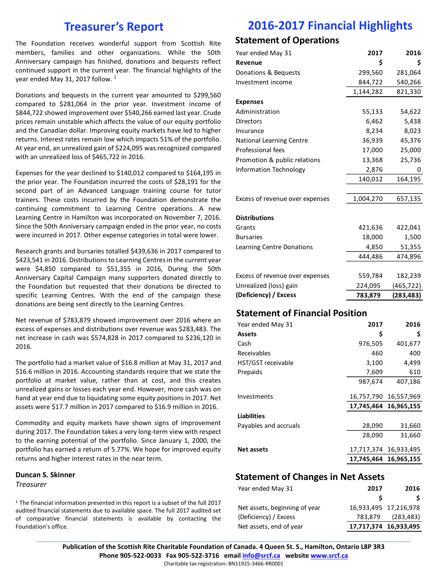### **Treasurer's Report**

The Foundation receives wonderful support from Scottish Rite members, families and other organizations. While the 50th Anniversary campaign has finished, donations and bequests reflect continued support in the current year. The financial highlights of the year ended May 31, 2017 follow.<sup>1</sup>

Donations and bequests in the current year amounted to \$299,560 compared to \$281,064 in the prior year. Investment income of \$844,722 showed improvement over \$540,266 earned last year. Crude prices remain unstable which affects the value of our equity portfolio and the Canadian dollar. Improving equity markets have led to higher returns. Interest rates remain low which impacts 51% of the portfolio. At year end, an unrealized gain of \$224,095 was recognized compared with an unrealized loss of \$465,722 in 2016.

Expenses for the year declined to \$140,012 compared to \$164,195 in the prior year. The Foundation incurred the costs of \$28,191 for the second part of an Advanced Language training course for tutor trainers. These costs incurred by the Foundation demonstrate the continuing commitment to Learning Centre operations. A new Learning Centre in Hamilton was incorporated on November 7, 2016. Since the 50th Anniversary campaign ended in the prior year, no costs were incurred in 2017. Other expense categories in total were lower.

Research grants and bursaries totalled \$439,636 in 2017 compared to \$423,541 in 2016. Distributions to Learning Centres in the current year were \$4,850 compared to \$51,355 in 2016, During the 50th Anniversary Capital Campaign many supporters donated directly to the Foundation but requested that their donations be directed to specific Learning Centres. With the end of the campaign these donations are being sent directly to the Learning Centres.

Net revenue of \$783,879 showed improvement over 2016 where an excess of expenses and distributions over revenue was \$283,483. The net increase in cash was \$574,828 in 2017 compared to \$236,120 in 2016.

The portfolio had a market value of \$16.8 million at May 31, 2017 and \$16.6 million in 2016. Accounting standards require that we state the portfolio at market value, rather than at cost, and this creates unrealized gains or losses each year end. However, more cash was on hand at year end due to liquidating some equity positions in 2017. Net assets were \$17.7 million in 2017 compared to \$16.9 million in 2016.

Commodity and equity markets have shown signs of improvement during 2017. The Foundation takes a very long-term view with respect to the earning potential of the portfolio. Since January 1, 2000, the portfolio has earned a return of 5.77%. We hope for improved equity returns and higher interest rates in the near term.

#### **Duncan S. Skinner**

*Treasurer*

<sup>1</sup> The financial information presented in this report is a subset of the full 2017 audited financial statements due to available space. The full 2017 audited set of comparative financial statements is available by contacting the Foundation's office.

# **2016-2017 Financial Highlights**

### **Statement of Operations**

| Year ended May 31               | 2017      | 2016       |
|---------------------------------|-----------|------------|
| Revenue                         | \$        | \$         |
| Donations & Bequests            | 299,560   | 281,064    |
| Investment income               | 844,722   | 540,266    |
|                                 | 1,144,282 | 821,330    |
| <b>Expenses</b>                 |           |            |
| Administration                  | 55,133    | 54,622     |
| Directors                       | 6,462     | 5,438      |
| Insurance                       | 8,234     | 8,023      |
| <b>National Learning Centre</b> | 36,939    | 45,376     |
| <b>Professional fees</b>        | 17,000    | 25,000     |
| Promotion & public relations    | 13,368    | 25,736     |
| Information Technology          | 2,876     | 0          |
|                                 | 140,012   | 164,195    |
|                                 |           |            |
| Excess of revenue over expenses | 1,004,270 | 657,135    |
|                                 |           |            |
| <b>Distributions</b>            |           |            |
| Grants                          | 421,636   | 422,041    |
| <b>Bursaries</b>                | 18,000    | 1,500      |
| Learning Centre Donations       | 4,850     | 51,355     |
|                                 | 444,486   | 474,896    |
|                                 |           |            |
| Excess of revenue over expenses | 559,784   | 182,239    |
| Unrealized (loss) gain          | 224,095   | (465, 722) |
| (Deficiency) / Excess           | 783,879   | (283, 483) |
|                                 |           |            |

### **Statement of Financial Position**

| Year ended May 31     | 2017       | 2016                  |
|-----------------------|------------|-----------------------|
| <b>Assets</b>         | S          | \$                    |
| Cash                  | 976,505    | 401,677               |
| Receivables           | 460        | 400                   |
| HST/GST receivable    | 3,100      | 4,499                 |
| Prepaids              | 7,609      | 610                   |
|                       | 987,674    | 407,186               |
| Investments           |            | 16,757,790 16,557,969 |
|                       |            | 17,745,464 16,965,155 |
| <b>Liabilities</b>    |            |                       |
| Payables and accruals | 28,090     | 31,660                |
|                       | 28,090     | 31,660                |
| <b>Net assets</b>     |            | 17,717,374 16,933,495 |
|                       | 17,745,464 | 16,965,155            |

#### **Statement of Changes in Net Assets**

| Year ended May 31             | 2017    | 2016                  |
|-------------------------------|---------|-----------------------|
|                               |         |                       |
| Net assets, beginning of year |         | 16,933,495 17,216,978 |
| (Deficiency) / Excess         | 783,879 | (283, 483)            |
| Net assets, end of year       |         | 17,717,374 16,933,495 |

**\_\_\_\_\_\_\_\_\_\_\_\_\_\_\_\_\_\_\_\_\_\_\_\_\_\_\_\_\_\_\_\_\_\_\_\_\_\_\_\_\_\_\_\_\_\_\_\_\_\_\_\_\_\_\_\_\_\_\_\_\_\_\_\_\_\_\_\_\_\_\_\_\_\_\_\_\_\_\_\_\_\_\_\_\_\_\_\_\_\_\_\_\_\_\_\_\_\_\_\_\_\_\_\_\_\_\_\_\_\_\_\_\_\_\_\_\_\_\_\_\_\_\_\_\_\_\_\_\_\_\_\_\_\_\_\_\_\_\_\_\_\_\_\_\_\_\_\_\_\_\_\_\_\_\_\_\_\_\_\_\_\_\_\_\_\_\_\_\_\_\_\_\_\_\_\_\_\_\_\_\_\_\_\_\_\_\_\_\_\_\_\_\_\_\_\_\_\_\_\_\_\_\_\_\_\_\_ Publication of the Scottish Rite Charitable Foundation of Canada. 4 Queen St. S., Hamilton, Ontario L8P 3R3 Phone 905-522-0033 Fax 905-522-3716 email [info@srcf.ca](mailto:info@srcf.ca) website [www.srcf.ca](http://www.srcf.ca/)** Charitable tax registration: BN11925-3466-RR0001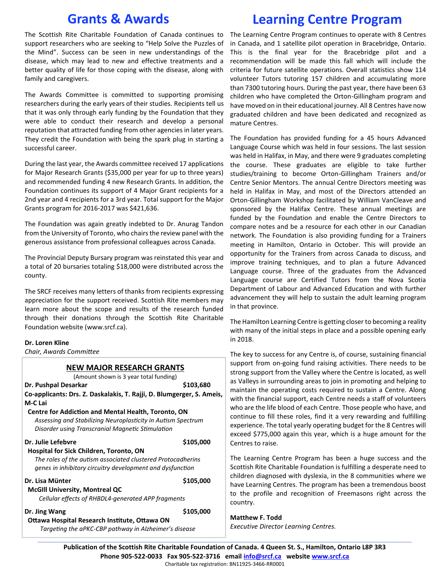## **Grants & Awards**

# **Learning Centre Program**

The Scottish Rite Charitable Foundation of Canada continues to support researchers who are seeking to "Help Solve the Puzzles of the Mind". Success can be seen in new understandings of the disease, which may lead to new and effective treatments and a better quality of life for those coping with the disease, along with family and caregivers.

The Awards Committee is committed to supporting promising researchers during the early years of their studies. Recipients tell us that it was only through early funding by the Foundation that they were able to conduct their research and develop a personal reputation that attracted funding from other agencies in later years. They credit the Foundation with being the spark plug in starting a successful career.

During the last year, the Awards committee received 17 applications for Major Research Grants (\$35,000 per year for up to three years) and recommended funding 4 new Research Grants. In addition, the Foundation continues its support of 4 Major Grant recipients for a 2nd year and 4 recipients for a 3rd year. Total support for the Major Grants program for 2016-2017 was \$421,636.

The Foundation was again greatly indebted to Dr. Anurag Tandon from the University of Toronto, who chairs the review panel with the generous assistance from professional colleagues across Canada.

The Provincial Deputy Bursary program was reinstated this year and a total of 20 bursaries totaling \$18,000 were distributed across the county.

The SRCF receives many letters of thanks from recipients expressing appreciation for the support received. Scottish Rite members may learn more about the scope and results of the research funded through their donations through the Scottish Rite Charitable Foundation website (www.srcf.ca).

#### **Dr. Loren Kline**

*Chair, Awards Committee*

#### **NEW MAJOR RESEARCH GRANTS**

(Amount shown is 3 year total funding)

**Dr. Pushpal Desarkar \$103,680 Co-applicants: Drs. Z. Daskalakis, T. Rajji, D. Blumgerger, S. Ameis, M-C Lai**

#### **Centre for Addiction and Mental Health, Toronto, ON**

*Assessing and Stabilizing Neuroplasticity in Autism Spectrum Disorder using Transcranial Magnetic Stimulation*

| Dr. Julie Lefebvre                                          | \$105,000 |
|-------------------------------------------------------------|-----------|
| <b>Hospital for Sick Children, Toronto, ON</b>              |           |
| The roles of the autism associated clustered Protocadherins |           |
| genes in inhibitory circuitry development and dysfunction   |           |
| Dr. Lisa Münter                                             | \$105,000 |
| <b>McGIII University, Montreal QC</b>                       |           |
| Cellular effects of RHBDL4-generated APP fragments          |           |
| Dr. Jing Wang                                               | \$105,000 |
| Ottawa Hospital Research Institute. Ottawa ON               |           |

*Targeting the aPKC-CBP pathway in Alzheimer's disease*

The Learning Centre Program continues to operate with 8 Centres in Canada, and 1 satellite pilot operation in Bracebridge, Ontario. This is the final year for the Bracebridge pilot and a recommendation will be made this fall which will include the criteria for future satellite operations. Overall statistics show 114 volunteer Tutors tutoring 157 children and accumulating more than 7300 tutoring hours. During the past year, there have been 63 children who have completed the Orton-Gillingham program and have moved on in their educational journey. All 8 Centres have now graduated children and have been dedicated and recognized as mature Centres.

The Foundation has provided funding for a 45 hours Advanced Language Course which was held in four sessions. The last session was held in Halifax, in May, and there were 9 graduates completing the course. These graduates are eligible to take further studies/training to become Orton-Gillingham Trainers and/or Centre Senior Mentors. The annual Centre Directors meeting was held in Halifax in May, and most of the Directors attended an Orton-Gillingham Workshop facilitated by William VanCleave and sponsored by the Halifax Centre. These annual meetings are funded by the Foundation and enable the Centre Directors to compare notes and be a resource for each other in our Canadian network. The Foundation is also providing funding for a Trainers meeting in Hamilton, Ontario in October. This will provide an opportunity for the Trainers from across Canada to discuss, and improve training techniques, and to plan a future Advanced Language course. Three of the graduates from the Advanced Language course are Certified Tutors from the Nova Scotia Department of Labour and Advanced Education and with further advancement they will help to sustain the adult learning program in that province.

The Hamilton Learning Centre is getting closer to becoming a reality with many of the initial steps in place and a possible opening early in 2018.

The key to success for any Centre is, of course, sustaining financial support from on-going fund raising activities. There needs to be strong support from the Valley where the Centre is located, as well as Valleys in surrounding areas to join in promoting and helping to maintain the operating costs required to sustain a Centre. Along with the financial support, each Centre needs a staff of volunteers who are the life blood of each Centre. Those people who have, and continue to fill these roles, find it a very rewarding and fulfilling experience. The total yearly operating budget for the 8 Centres will exceed \$775,000 again this year, which is a huge amount for the Centres to raise.

The Learning Centre Program has been a huge success and the Scottish Rite Charitable Foundation is fulfilling a desperate need to children diagnosed with dyslexia, in the 8 communities where we have Learning Centres. The program has been a tremendous boost to the profile and recognition of Freemasons right across the country.

#### **Matthew F. Todd**

*Executive Director Learning Centres.*

**\_\_\_\_\_\_\_\_\_\_\_\_\_\_\_\_\_\_\_\_\_\_\_\_\_\_\_\_\_\_\_\_\_\_\_\_\_\_\_\_\_\_\_\_\_\_\_\_\_\_\_\_\_\_\_\_\_\_\_\_\_\_\_\_\_\_\_\_\_\_\_\_\_\_\_\_\_\_\_\_\_\_\_\_\_\_\_\_\_\_\_\_\_\_\_\_\_\_\_\_\_\_\_\_\_\_\_\_\_\_\_\_\_\_\_\_\_\_\_\_\_\_\_\_\_\_\_\_\_\_\_\_\_\_\_\_\_\_\_\_\_\_\_\_\_\_\_\_\_\_\_\_\_\_\_\_\_\_\_\_\_\_\_\_\_\_\_\_\_\_\_\_\_\_\_\_\_\_\_\_\_\_\_\_\_\_\_\_\_\_\_\_\_\_\_\_\_\_\_\_\_\_\_\_\_\_\_ Publication of the Scottish Rite Charitable Foundation of Canada. 4 Queen St. S., Hamilton, Ontario L8P 3R3 Phone 905-522-0033 Fax 905-522-3716 email [info@srcf.ca](mailto:info@srcf.ca) websit[e www.srcf.ca](http://www.srcf.ca/)** Charitable tax registration: BN11925-3466-RR0001